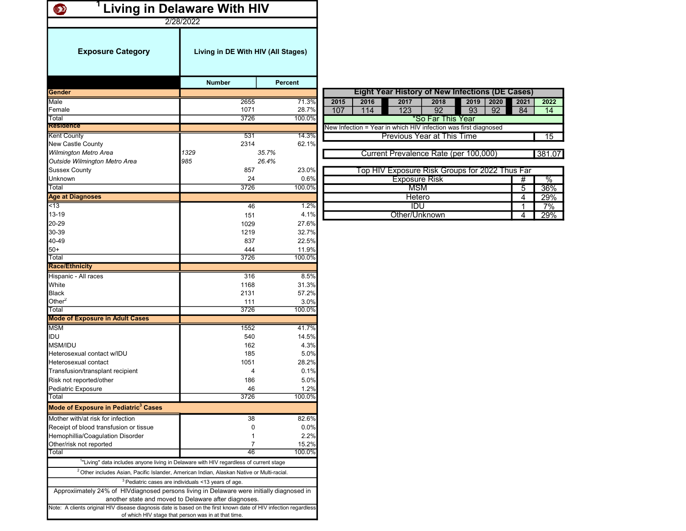| <b>Living in Delaware With HIV</b><br>$\bullet$<br>2/28/2022                                                     |                                                                                                    |                |                                                                 |                |        |
|------------------------------------------------------------------------------------------------------------------|----------------------------------------------------------------------------------------------------|----------------|-----------------------------------------------------------------|----------------|--------|
| <b>Exposure Category</b>                                                                                         | Living in DE With HIV (All Stages)                                                                 |                |                                                                 |                |        |
|                                                                                                                  | <b>Number</b>                                                                                      | <b>Percent</b> |                                                                 |                |        |
| <b>Gender</b>                                                                                                    |                                                                                                    |                | <b>Eight Year History of New Infections (DE Cases)</b>          |                |        |
| Male                                                                                                             | 2655                                                                                               | 71.3%          | 2015<br>2016<br>2017<br>2018<br>2019<br>2020                    | 2021           | 2022   |
| Female                                                                                                           | 1071                                                                                               | 28.7%          | $\overline{92}$<br>107<br>114<br>123<br>93<br>92                | 84             | 14     |
| Total                                                                                                            | 3726                                                                                               | 100.0%         | *So Far This Year                                               |                |        |
| <b>Residence</b>                                                                                                 |                                                                                                    |                | New Infection = Year in which HIV infection was first diagnosed |                |        |
| <b>Kent County</b>                                                                                               | 531                                                                                                | 14.3%          | <b>Previous Year at This Time</b>                               |                | 15     |
| New Castle County                                                                                                | 2314                                                                                               | 62.1%          |                                                                 |                |        |
| Wilmington Metro Area                                                                                            | 1329                                                                                               | 35.7%          | Current Prevalence Rate (per 100,000)                           |                | 381.07 |
| Outside Wilmington Metro Area                                                                                    | 985                                                                                                | 26.4%          |                                                                 |                |        |
| <b>Sussex County</b>                                                                                             | 857                                                                                                | 23.0%          | Top HIV Exposure Risk Groups for 2022 Thus Far                  |                |        |
| Unknown<br>Total                                                                                                 | 24<br>3726                                                                                         | 0.6%<br>100.0% | <b>Exposure Risk</b>                                            | #              | $\%$   |
|                                                                                                                  |                                                                                                    |                | <b>MSM</b>                                                      | $\overline{5}$ | 36%    |
| <b>Age at Diagnoses</b><br>$\overline{5}$                                                                        |                                                                                                    | 1.2%           | Hetero<br>IDU                                                   | 4              | 29%    |
| 13-19                                                                                                            | 46                                                                                                 | 4.1%           | Other/Unknown                                                   | $\mathbf 1$    | 7%     |
| 20-29                                                                                                            | 151                                                                                                | 27.6%          |                                                                 | 4              | 29%    |
| 30-39                                                                                                            | 1029<br>1219                                                                                       | 32.7%          |                                                                 |                |        |
| 40-49                                                                                                            | 837                                                                                                | 22.5%          |                                                                 |                |        |
| $50+$                                                                                                            | 444                                                                                                | 11.9%          |                                                                 |                |        |
| Total                                                                                                            | 3726                                                                                               | 100.0%         |                                                                 |                |        |
| <b>Race/Ethnicity</b>                                                                                            |                                                                                                    |                |                                                                 |                |        |
| Hispanic - All races                                                                                             | 316                                                                                                | 8.5%           |                                                                 |                |        |
| White                                                                                                            | 1168                                                                                               | 31.3%          |                                                                 |                |        |
| <b>Black</b>                                                                                                     | 2131                                                                                               | 57.2%          |                                                                 |                |        |
| Other <sup>2</sup>                                                                                               | 111                                                                                                | 3.0%           |                                                                 |                |        |
| Total                                                                                                            | 3726                                                                                               | 100.0%         |                                                                 |                |        |
| <b>Mode of Exposure in Adult Cases</b>                                                                           |                                                                                                    |                |                                                                 |                |        |
| <b>MSM</b>                                                                                                       | 1552                                                                                               | 41.7%          |                                                                 |                |        |
| IDU                                                                                                              | 540                                                                                                | 14.5%          |                                                                 |                |        |
| MSM/IDU                                                                                                          | 162                                                                                                | 4.3%           |                                                                 |                |        |
| Heterosexual contact w/IDU                                                                                       | 185                                                                                                | 5.0%           |                                                                 |                |        |
| Heterosexual contact                                                                                             | 1051                                                                                               | 28.2%          |                                                                 |                |        |
| Transfusion/transplant recipient                                                                                 | $\overline{4}$                                                                                     | 0.1%           |                                                                 |                |        |
| Risk not reported/other                                                                                          | 186                                                                                                | 5.0%           |                                                                 |                |        |
| Pediatric Exposure                                                                                               | 46                                                                                                 | 1.2%           |                                                                 |                |        |
| Total<br>Mode of Exposure in Pediatric <sup>3</sup> Cases                                                        | 3726                                                                                               | 100.0%         |                                                                 |                |        |
|                                                                                                                  |                                                                                                    |                |                                                                 |                |        |
| Mother with/at risk for infection                                                                                | 38                                                                                                 | 82.6%          |                                                                 |                |        |
| Receipt of blood transfusion or tissue                                                                           | 0                                                                                                  | 0.0%           |                                                                 |                |        |
| Hemophillia/Coagulation Disorder<br>Other/risk not reported                                                      | 1<br>$\overline{7}$                                                                                | 2.2%<br>15.2%  |                                                                 |                |        |
| Total                                                                                                            | 46                                                                                                 | 100.0%         |                                                                 |                |        |
|                                                                                                                  | <sup>1</sup> "Living" data includes anyone living in Delaware with HIV regardless of current stage |                |                                                                 |                |        |
|                                                                                                                  |                                                                                                    |                |                                                                 |                |        |
| <sup>2</sup> Other includes Asian, Pacific Islander, American Indian, Alaskan Native or Multi-racial.            |                                                                                                    |                |                                                                 |                |        |
|                                                                                                                  | $3$ Pediatric cases are individuals <13 years of age.                                              |                |                                                                 |                |        |
| Approxiimately 24% of HIV diagnosed persons living in Delaware were initially diagnosed in                       | another state and moved to Delaware after diagnoses.                                               |                |                                                                 |                |        |
| Note: A clients original HIV disease diagnosis date is based on the first known date of HIV infection regardless | of which HIV stage that person was in at that time.                                                |                |                                                                 |                |        |

1227 1957 3184 1199 3523 4722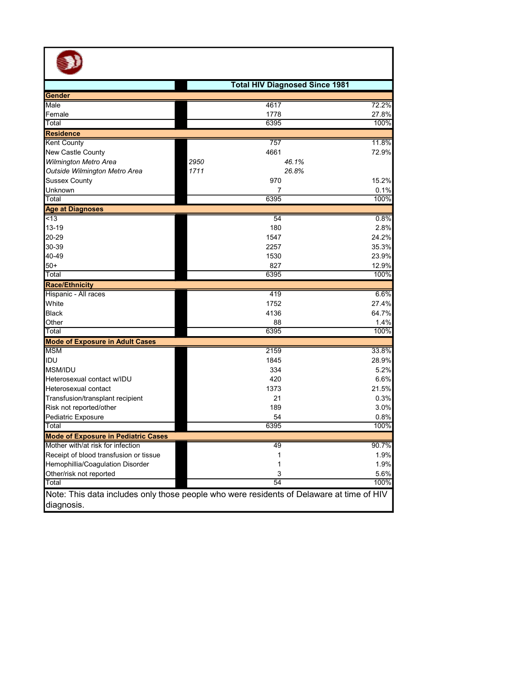| <b>Total HIV Diagnosed Since 1981</b><br>Male<br>4617<br>Female<br>1778<br>6395<br>Total<br><b>Residence</b><br>757<br>4661<br>New Castle County<br>Wilmington Metro Area<br>2950<br>46.1%<br>Outside Wilmington Metro Area<br>1711<br>26.8%<br>970<br><b>Sussex County</b><br>$\overline{7}$<br>Unknown<br>6395<br>Total<br>54<br><13<br>13-19<br>180<br>20-29<br>1547<br>30-39<br>2257<br>40-49<br>1530<br>$50+$<br>827<br>100%<br>Total<br>6395<br>6.6%<br>Hispanic - All races<br>419<br>White<br>1752<br>27.4%<br><b>Black</b><br>4136<br>64.7%<br>Other<br>88<br>6395<br>100%<br>Total<br><b>Mode of Exposure in Adult Cases</b><br>2159<br>33.8%<br>IDU<br>1845<br>28.9%<br><b>MSM/IDU</b><br>334<br>5.2%<br>420<br>Heterosexual contact w/IDU<br>6.6%<br>1373<br>21.5%<br>Heterosexual contact<br>21<br>Transfusion/transplant recipient<br>0.3%<br>189<br>3.0%<br>Risk not reported/other<br>Pediatric Exposure<br>54<br>0.8%<br>100%<br>Total<br>6395<br>90.7%<br>49<br>Receipt of blood transfusion or tissue<br>1.9%<br>1 |            |  |              |
|---------------------------------------------------------------------------------------------------------------------------------------------------------------------------------------------------------------------------------------------------------------------------------------------------------------------------------------------------------------------------------------------------------------------------------------------------------------------------------------------------------------------------------------------------------------------------------------------------------------------------------------------------------------------------------------------------------------------------------------------------------------------------------------------------------------------------------------------------------------------------------------------------------------------------------------------------------------------------------------------------------------------------------------|------------|--|--------------|
| Gender                                                                                                                                                                                                                                                                                                                                                                                                                                                                                                                                                                                                                                                                                                                                                                                                                                                                                                                                                                                                                                |            |  |              |
|                                                                                                                                                                                                                                                                                                                                                                                                                                                                                                                                                                                                                                                                                                                                                                                                                                                                                                                                                                                                                                       |            |  |              |
|                                                                                                                                                                                                                                                                                                                                                                                                                                                                                                                                                                                                                                                                                                                                                                                                                                                                                                                                                                                                                                       |            |  | 72.2%        |
|                                                                                                                                                                                                                                                                                                                                                                                                                                                                                                                                                                                                                                                                                                                                                                                                                                                                                                                                                                                                                                       |            |  | 27.8%        |
| <b>Kent County</b>                                                                                                                                                                                                                                                                                                                                                                                                                                                                                                                                                                                                                                                                                                                                                                                                                                                                                                                                                                                                                    |            |  | 100%         |
|                                                                                                                                                                                                                                                                                                                                                                                                                                                                                                                                                                                                                                                                                                                                                                                                                                                                                                                                                                                                                                       |            |  |              |
|                                                                                                                                                                                                                                                                                                                                                                                                                                                                                                                                                                                                                                                                                                                                                                                                                                                                                                                                                                                                                                       |            |  | 11.8%        |
| <b>Age at Diagnoses</b><br><b>Race/Ethnicity</b><br><b>MSM</b><br><b>Mode of Exposure in Pediatric Cases</b><br>Mother with/at risk for infection                                                                                                                                                                                                                                                                                                                                                                                                                                                                                                                                                                                                                                                                                                                                                                                                                                                                                     |            |  | 72.9%        |
|                                                                                                                                                                                                                                                                                                                                                                                                                                                                                                                                                                                                                                                                                                                                                                                                                                                                                                                                                                                                                                       |            |  |              |
|                                                                                                                                                                                                                                                                                                                                                                                                                                                                                                                                                                                                                                                                                                                                                                                                                                                                                                                                                                                                                                       |            |  |              |
|                                                                                                                                                                                                                                                                                                                                                                                                                                                                                                                                                                                                                                                                                                                                                                                                                                                                                                                                                                                                                                       |            |  | 15.2%        |
|                                                                                                                                                                                                                                                                                                                                                                                                                                                                                                                                                                                                                                                                                                                                                                                                                                                                                                                                                                                                                                       |            |  | 0.1%         |
|                                                                                                                                                                                                                                                                                                                                                                                                                                                                                                                                                                                                                                                                                                                                                                                                                                                                                                                                                                                                                                       |            |  | 100%         |
|                                                                                                                                                                                                                                                                                                                                                                                                                                                                                                                                                                                                                                                                                                                                                                                                                                                                                                                                                                                                                                       |            |  |              |
|                                                                                                                                                                                                                                                                                                                                                                                                                                                                                                                                                                                                                                                                                                                                                                                                                                                                                                                                                                                                                                       |            |  | 0.8%         |
|                                                                                                                                                                                                                                                                                                                                                                                                                                                                                                                                                                                                                                                                                                                                                                                                                                                                                                                                                                                                                                       |            |  | 2.8%         |
|                                                                                                                                                                                                                                                                                                                                                                                                                                                                                                                                                                                                                                                                                                                                                                                                                                                                                                                                                                                                                                       |            |  | 24.2%        |
|                                                                                                                                                                                                                                                                                                                                                                                                                                                                                                                                                                                                                                                                                                                                                                                                                                                                                                                                                                                                                                       |            |  | 35.3%        |
|                                                                                                                                                                                                                                                                                                                                                                                                                                                                                                                                                                                                                                                                                                                                                                                                                                                                                                                                                                                                                                       |            |  | 23.9%        |
|                                                                                                                                                                                                                                                                                                                                                                                                                                                                                                                                                                                                                                                                                                                                                                                                                                                                                                                                                                                                                                       |            |  | 12.9%        |
|                                                                                                                                                                                                                                                                                                                                                                                                                                                                                                                                                                                                                                                                                                                                                                                                                                                                                                                                                                                                                                       |            |  |              |
|                                                                                                                                                                                                                                                                                                                                                                                                                                                                                                                                                                                                                                                                                                                                                                                                                                                                                                                                                                                                                                       |            |  |              |
|                                                                                                                                                                                                                                                                                                                                                                                                                                                                                                                                                                                                                                                                                                                                                                                                                                                                                                                                                                                                                                       |            |  |              |
|                                                                                                                                                                                                                                                                                                                                                                                                                                                                                                                                                                                                                                                                                                                                                                                                                                                                                                                                                                                                                                       |            |  |              |
|                                                                                                                                                                                                                                                                                                                                                                                                                                                                                                                                                                                                                                                                                                                                                                                                                                                                                                                                                                                                                                       |            |  |              |
|                                                                                                                                                                                                                                                                                                                                                                                                                                                                                                                                                                                                                                                                                                                                                                                                                                                                                                                                                                                                                                       |            |  | 1.4%         |
|                                                                                                                                                                                                                                                                                                                                                                                                                                                                                                                                                                                                                                                                                                                                                                                                                                                                                                                                                                                                                                       |            |  |              |
|                                                                                                                                                                                                                                                                                                                                                                                                                                                                                                                                                                                                                                                                                                                                                                                                                                                                                                                                                                                                                                       |            |  |              |
|                                                                                                                                                                                                                                                                                                                                                                                                                                                                                                                                                                                                                                                                                                                                                                                                                                                                                                                                                                                                                                       |            |  |              |
|                                                                                                                                                                                                                                                                                                                                                                                                                                                                                                                                                                                                                                                                                                                                                                                                                                                                                                                                                                                                                                       |            |  |              |
|                                                                                                                                                                                                                                                                                                                                                                                                                                                                                                                                                                                                                                                                                                                                                                                                                                                                                                                                                                                                                                       |            |  |              |
|                                                                                                                                                                                                                                                                                                                                                                                                                                                                                                                                                                                                                                                                                                                                                                                                                                                                                                                                                                                                                                       |            |  |              |
|                                                                                                                                                                                                                                                                                                                                                                                                                                                                                                                                                                                                                                                                                                                                                                                                                                                                                                                                                                                                                                       |            |  |              |
|                                                                                                                                                                                                                                                                                                                                                                                                                                                                                                                                                                                                                                                                                                                                                                                                                                                                                                                                                                                                                                       |            |  |              |
|                                                                                                                                                                                                                                                                                                                                                                                                                                                                                                                                                                                                                                                                                                                                                                                                                                                                                                                                                                                                                                       |            |  |              |
|                                                                                                                                                                                                                                                                                                                                                                                                                                                                                                                                                                                                                                                                                                                                                                                                                                                                                                                                                                                                                                       |            |  |              |
|                                                                                                                                                                                                                                                                                                                                                                                                                                                                                                                                                                                                                                                                                                                                                                                                                                                                                                                                                                                                                                       |            |  |              |
|                                                                                                                                                                                                                                                                                                                                                                                                                                                                                                                                                                                                                                                                                                                                                                                                                                                                                                                                                                                                                                       |            |  |              |
|                                                                                                                                                                                                                                                                                                                                                                                                                                                                                                                                                                                                                                                                                                                                                                                                                                                                                                                                                                                                                                       |            |  |              |
|                                                                                                                                                                                                                                                                                                                                                                                                                                                                                                                                                                                                                                                                                                                                                                                                                                                                                                                                                                                                                                       |            |  |              |
| Hemophillia/Coagulation Disorder<br>1                                                                                                                                                                                                                                                                                                                                                                                                                                                                                                                                                                                                                                                                                                                                                                                                                                                                                                                                                                                                 |            |  | 1.9%         |
| Other/risk not reported<br>3<br>54<br>Total                                                                                                                                                                                                                                                                                                                                                                                                                                                                                                                                                                                                                                                                                                                                                                                                                                                                                                                                                                                           |            |  | 5.6%<br>100% |
| Note: This data includes only those people who were residents of Delaware at time of HIV                                                                                                                                                                                                                                                                                                                                                                                                                                                                                                                                                                                                                                                                                                                                                                                                                                                                                                                                              |            |  |              |
|                                                                                                                                                                                                                                                                                                                                                                                                                                                                                                                                                                                                                                                                                                                                                                                                                                                                                                                                                                                                                                       | diagnosis. |  |              |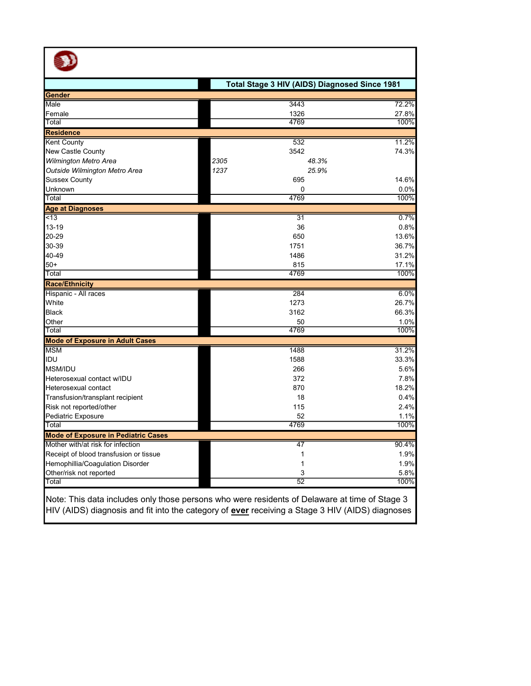|                                            | Total Stage 3 HIV (AIDS) Diagnosed Since 1981 |       |
|--------------------------------------------|-----------------------------------------------|-------|
| Gender                                     |                                               |       |
| Male                                       | 3443                                          | 72.2% |
| Female                                     | 1326                                          | 27.8% |
| Total                                      | 4769                                          | 100%  |
| <b>Residence</b>                           |                                               |       |
| <b>Kent County</b>                         | 532                                           | 11.2% |
| <b>New Castle County</b>                   | 3542                                          | 74.3% |
| <b>Wilmington Metro Area</b>               | 2305<br>48.3%                                 |       |
| Outside Wilmington Metro Area              | 1237<br>25.9%                                 |       |
| <b>Sussex County</b>                       | 695                                           | 14.6% |
| Unknown                                    | 0                                             | 0.0%  |
| Total                                      | 4769                                          | 100%  |
| <b>Age at Diagnoses</b>                    |                                               |       |
| $\overline{5}$                             | $\overline{31}$                               | 0.7%  |
| 13-19                                      | 36                                            | 0.8%  |
| 20-29                                      | 650                                           | 13.6% |
| 30-39                                      | 1751                                          | 36.7% |
| 40-49                                      | 1486                                          | 31.2% |
| $50+$                                      | 815                                           | 17.1% |
| Total                                      | 4769                                          | 100%  |
| <b>Race/Ethnicity</b>                      |                                               |       |
| Hispanic - All races                       | $\overline{284}$                              | 6.0%  |
| White                                      | 1273                                          | 26.7% |
| <b>Black</b>                               | 3162                                          | 66.3% |
| Other                                      | 50                                            | 1.0%  |
| Total                                      | 4769                                          | 100%  |
| <b>Mode of Exposure in Adult Cases</b>     |                                               |       |
| <b>MSM</b>                                 | 1488                                          | 31.2% |
| IDU                                        | 1588                                          | 33.3% |
| <b>MSM/IDU</b>                             | 266                                           | 5.6%  |
| Heterosexual contact w/IDU                 | 372                                           | 7.8%  |
| Heterosexual contact                       | 870                                           | 18.2% |
| Transfusion/transplant recipient           | 18                                            | 0.4%  |
| Risk not reported/other                    | 115                                           | 2.4%  |
| Pediatric Exposure                         | 52                                            | 1.1%  |
| Total                                      | 4769                                          | 100%  |
| <b>Mode of Exposure in Pediatric Cases</b> |                                               |       |
| Mother with/at risk for infection          | 47                                            | 90.4% |
| Receipt of blood transfusion or tissue     | 1                                             | 1.9%  |
| Hemophillia/Coagulation Disorder           | 1                                             | 1.9%  |
| Other/risk not reported                    | 3                                             | 5.8%  |
| Total                                      | 52                                            | 100%  |

Note: This data includes only those persons who were residents of Delaware at time of Stage 3 HIV (AIDS) diagnosis and fit into the category of <u>ever</u> receiving a Stage 3 HIV (AIDS) diagnoses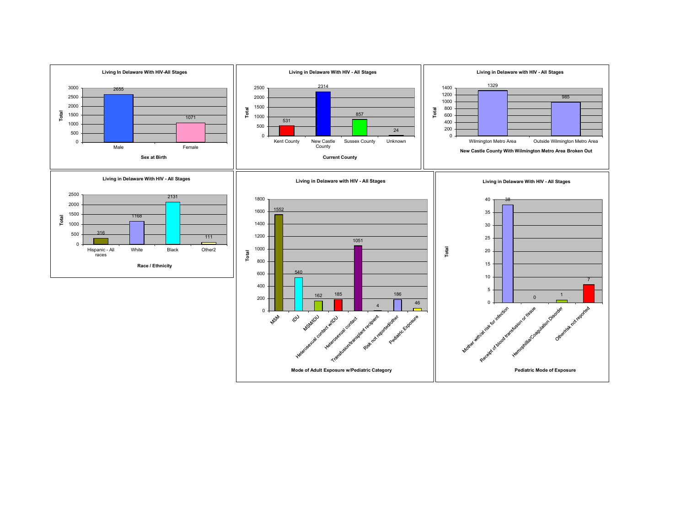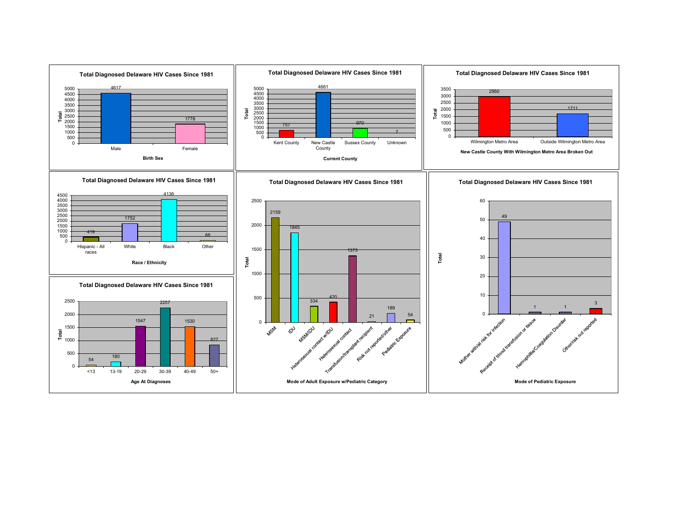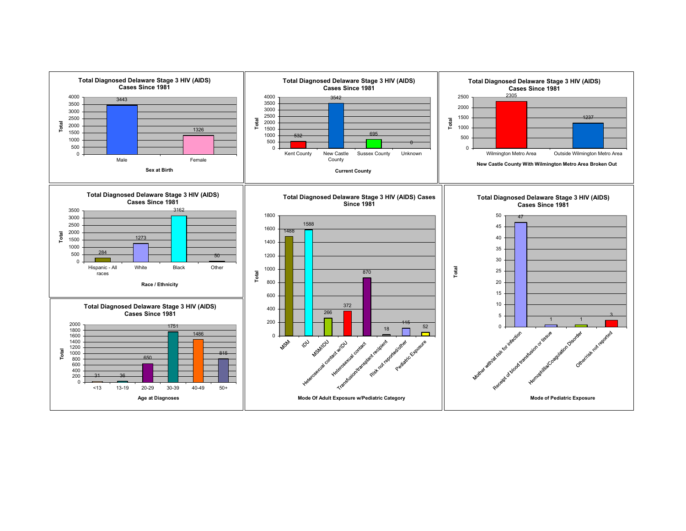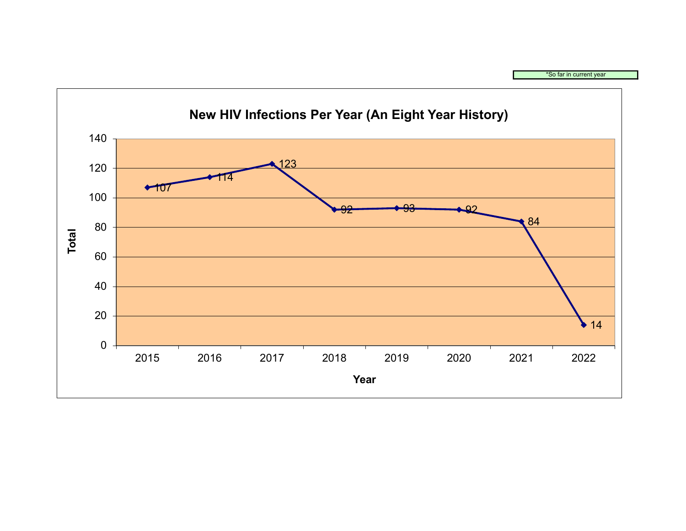